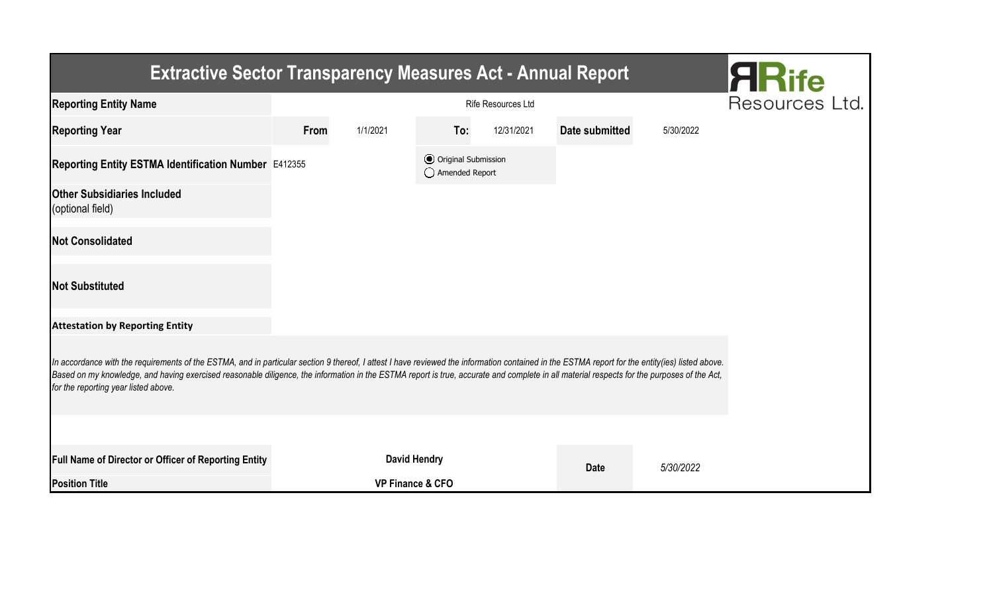| <b>Extractive Sector Transparency Measures Act - Annual Report</b>                                                                                                                                                                                                                                                                                                                                                                    |      |                             |                                                  |            |                       |           |  |  |  |  |
|---------------------------------------------------------------------------------------------------------------------------------------------------------------------------------------------------------------------------------------------------------------------------------------------------------------------------------------------------------------------------------------------------------------------------------------|------|-----------------------------|--------------------------------------------------|------------|-----------------------|-----------|--|--|--|--|
| <b>Reporting Entity Name</b>                                                                                                                                                                                                                                                                                                                                                                                                          |      | Resources Ltd.              |                                                  |            |                       |           |  |  |  |  |
| <b>Reporting Year</b>                                                                                                                                                                                                                                                                                                                                                                                                                 | From | 1/1/2021                    | To:                                              | 12/31/2021 | <b>Date submitted</b> | 5/30/2022 |  |  |  |  |
| Reporting Entity ESTMA Identification Number E412355                                                                                                                                                                                                                                                                                                                                                                                  |      |                             | <b>⊙</b> Original Submission<br>◯ Amended Report |            |                       |           |  |  |  |  |
| <b>Other Subsidiaries Included</b><br>(optional field)                                                                                                                                                                                                                                                                                                                                                                                |      |                             |                                                  |            |                       |           |  |  |  |  |
| <b>Not Consolidated</b>                                                                                                                                                                                                                                                                                                                                                                                                               |      |                             |                                                  |            |                       |           |  |  |  |  |
| <b>Not Substituted</b>                                                                                                                                                                                                                                                                                                                                                                                                                |      |                             |                                                  |            |                       |           |  |  |  |  |
| <b>Attestation by Reporting Entity</b>                                                                                                                                                                                                                                                                                                                                                                                                |      |                             |                                                  |            |                       |           |  |  |  |  |
| In accordance with the requirements of the ESTMA, and in particular section 9 thereof, I attest I have reviewed the information contained in the ESTMA report for the entity(ies) listed above.<br>Based on my knowledge, and having exercised reasonable diligence, the information in the ESTMA report is true, accurate and complete in all material respects for the purposes of the Act,<br>for the reporting year listed above. |      |                             |                                                  |            |                       |           |  |  |  |  |
|                                                                                                                                                                                                                                                                                                                                                                                                                                       |      |                             |                                                  |            |                       |           |  |  |  |  |
| Full Name of Director or Officer of Reporting Entity                                                                                                                                                                                                                                                                                                                                                                                  |      | <b>David Hendry</b>         |                                                  |            | <b>Date</b>           | 5/30/2022 |  |  |  |  |
| <b>Position Title</b>                                                                                                                                                                                                                                                                                                                                                                                                                 |      | <b>VP Finance &amp; CFO</b> |                                                  |            |                       |           |  |  |  |  |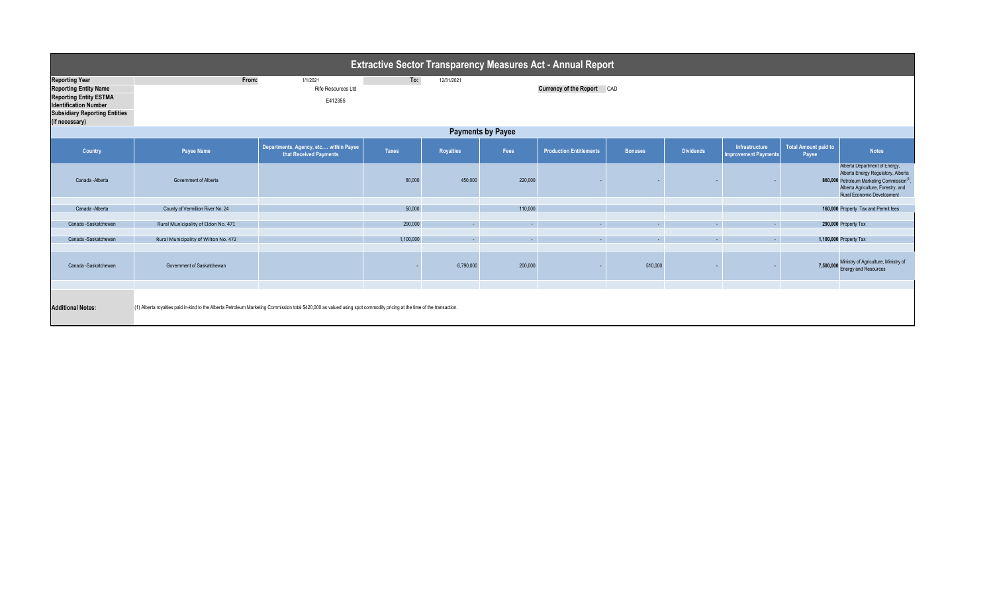| <b>Extractive Sector Transparency Measures Act - Annual Report</b>                                                                                                               |                                                                                                                                                                         |                                                                 |              |                  |          |                                |                |                  |                                               |                                      |                                                                                                                                                                                                  |
|----------------------------------------------------------------------------------------------------------------------------------------------------------------------------------|-------------------------------------------------------------------------------------------------------------------------------------------------------------------------|-----------------------------------------------------------------|--------------|------------------|----------|--------------------------------|----------------|------------------|-----------------------------------------------|--------------------------------------|--------------------------------------------------------------------------------------------------------------------------------------------------------------------------------------------------|
| <b>Reporting Year</b><br><b>Reporting Entity Name</b><br><b>Reporting Entity ESTMA</b><br><b>Identification Number</b><br><b>Subsidiary Reporting Entities</b><br>(if necessary) | From:                                                                                                                                                                   | 1/1/2021<br>Rife Resources Ltd<br>E412355                       | To:          | 12/31/2021       |          | Currency of the Report CAD     |                |                  |                                               |                                      |                                                                                                                                                                                                  |
| <b>Payments by Payee</b>                                                                                                                                                         |                                                                                                                                                                         |                                                                 |              |                  |          |                                |                |                  |                                               |                                      |                                                                                                                                                                                                  |
| Country                                                                                                                                                                          | Payee Name                                                                                                                                                              | Departments, Agency, etc within Payee<br>that Received Payments | <b>Taxes</b> | <b>Royalties</b> | Fees     | <b>Production Entitlements</b> | <b>Bonuses</b> | <b>Dividends</b> | Infrastructure<br><b>Improvement Payments</b> | <b>Total Amount paid to</b><br>Payee | <b>Notes</b>                                                                                                                                                                                     |
| Canada - Alberta                                                                                                                                                                 | Government of Alberta                                                                                                                                                   |                                                                 | 80,000       | 450,000          | 220,000  |                                |                |                  |                                               |                                      | Alberta Department of Energy,<br>Alberta Energy Regulatory, Alberta<br>860,000 Petroleum Marketing Commission <sup>(1)</sup><br>Alberta Agriculture, Forestry, and<br>Rural Economic Development |
| Canada - Alberta                                                                                                                                                                 | County of Vermillion River No. 24                                                                                                                                       |                                                                 | 50,000       |                  | 110,000  |                                |                |                  |                                               |                                      | 160,000 Property Tax and Permit fees                                                                                                                                                             |
|                                                                                                                                                                                  |                                                                                                                                                                         |                                                                 |              |                  |          |                                |                |                  |                                               |                                      |                                                                                                                                                                                                  |
| Canada -Saskatchewan                                                                                                                                                             | Rural Municipality of Eldon No. 471                                                                                                                                     |                                                                 | 290,000      | $\Delta \sim 1$  | ц.       | <b>Section</b>                 | A.             | $\sim$           | A.                                            |                                      | 290,000 Property Tax                                                                                                                                                                             |
| Canada -Saskatchewan                                                                                                                                                             | Rural Municipality of Wilton No. 472                                                                                                                                    |                                                                 | 1,100,000    | $\sim$           | $\sim$ 1 | $\sim$ 1                       | $\sim 10$      | $\sim 10$        | <b>Section</b>                                |                                      | 1,100,000 Property Tax                                                                                                                                                                           |
|                                                                                                                                                                                  |                                                                                                                                                                         |                                                                 |              |                  |          |                                |                |                  |                                               |                                      |                                                                                                                                                                                                  |
| Canada -Saskatchewan                                                                                                                                                             | Government of Saskatchewan                                                                                                                                              |                                                                 |              | 6,790,000        | 200,000  |                                | 510,000        |                  |                                               | 7,500,000                            | Ministry of Agriculture, Ministry of<br><b>Energy and Resources</b>                                                                                                                              |
|                                                                                                                                                                                  |                                                                                                                                                                         |                                                                 |              |                  |          |                                |                |                  |                                               |                                      |                                                                                                                                                                                                  |
| <b>Additional Notes:</b>                                                                                                                                                         | (1) Alberta royalties paid in-kind to the Alberta Petroleum Marketing Commission total \$420,000 as valued using spot commodity pricing at the time of the transaction. |                                                                 |              |                  |          |                                |                |                  |                                               |                                      |                                                                                                                                                                                                  |